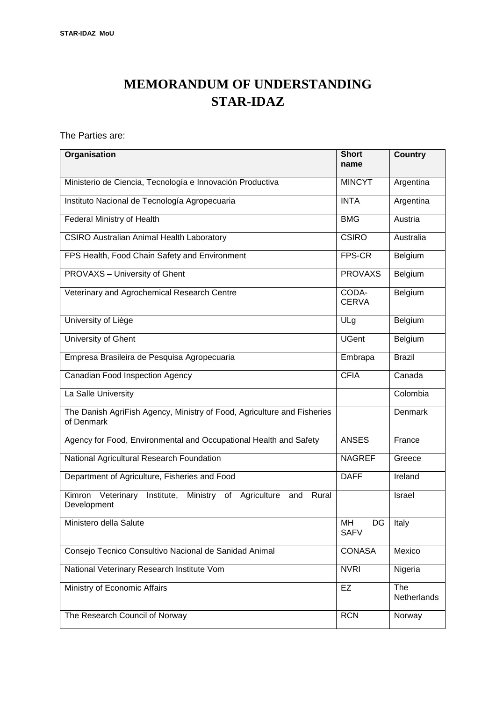# **MEMORANDUM OF UNDERSTANDING STAR-IDAZ**

The Parties are:

| Organisation                                                                              | <b>Short</b><br>name    | <b>Country</b>     |
|-------------------------------------------------------------------------------------------|-------------------------|--------------------|
| Ministerio de Ciencia, Tecnología e Innovación Productiva                                 | <b>MINCYT</b>           | Argentina          |
|                                                                                           |                         |                    |
| Instituto Nacional de Tecnología Agropecuaria                                             | <b>INTA</b>             | Argentina          |
| Federal Ministry of Health                                                                | <b>BMG</b>              | Austria            |
| <b>CSIRO Australian Animal Health Laboratory</b>                                          | <b>CSIRO</b>            | Australia          |
| FPS Health, Food Chain Safety and Environment                                             | FPS-CR                  | Belgium            |
| PROVAXS - University of Ghent                                                             | <b>PROVAXS</b>          | Belgium            |
| Veterinary and Agrochemical Research Centre                                               | CODA-<br><b>CERVA</b>   | Belgium            |
| University of Liège                                                                       | ULg                     | Belgium            |
| University of Ghent                                                                       | <b>UGent</b>            | Belgium            |
| Empresa Brasileira de Pesquisa Agropecuaria                                               | Embrapa                 | <b>Brazil</b>      |
| Canadian Food Inspection Agency                                                           | <b>CFIA</b>             | Canada             |
| La Salle University                                                                       |                         | Colombia           |
| The Danish AgriFish Agency, Ministry of Food, Agriculture and Fisheries<br>of Denmark     |                         | Denmark            |
| Agency for Food, Environmental and Occupational Health and Safety                         | <b>ANSES</b>            | France             |
| National Agricultural Research Foundation                                                 | <b>NAGREF</b>           | Greece             |
| Department of Agriculture, Fisheries and Food                                             | <b>DAFF</b>             | Ireland            |
| Institute, Ministry of Agriculture<br>Kimron<br>Veterinary<br>and<br>Rural<br>Development |                         | Israel             |
| Ministero della Salute                                                                    | MН<br>DG<br><b>SAFV</b> | Italy              |
| Consejo Tecnico Consultivo Nacional de Sanidad Animal                                     | <b>CONASA</b>           | Mexico             |
| National Veterinary Research Institute Vom                                                | <b>NVRI</b>             | Nigeria            |
| Ministry of Economic Affairs                                                              | EZ                      | The<br>Netherlands |
| The Research Council of Norway                                                            | <b>RCN</b>              | Norway             |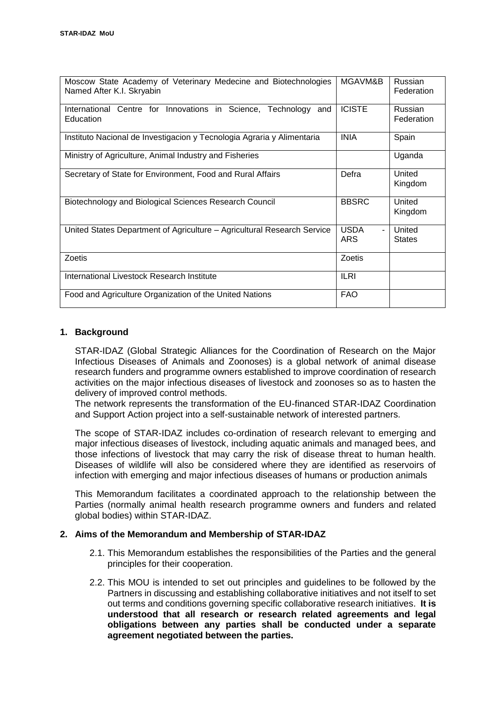| Moscow State Academy of Veterinary Medecine and Biotechnologies<br>Named After K.I. Skryabin | MGAVM&B                                     | Russian<br>Federation        |
|----------------------------------------------------------------------------------------------|---------------------------------------------|------------------------------|
| International<br>Centre for Innovations in Science, Technology and<br>Education              | <b>ICISTE</b>                               | <b>Russian</b><br>Federation |
| Instituto Nacional de Investigacion y Tecnologia Agraria y Alimentaria                       | <b>INIA</b>                                 | Spain                        |
| Ministry of Agriculture, Animal Industry and Fisheries                                       |                                             | Uganda                       |
| Secretary of State for Environment, Food and Rural Affairs                                   | Defra                                       | United<br>Kingdom            |
| Biotechnology and Biological Sciences Research Council                                       | <b>BBSRC</b>                                | United<br>Kingdom            |
| United States Department of Agriculture – Agricultural Research Service                      | <b>USDA</b><br>$\blacksquare$<br><b>ARS</b> | United<br><b>States</b>      |
| Zoetis                                                                                       | Zoetis                                      |                              |
| International Livestock Research Institute                                                   | <b>ILRI</b>                                 |                              |
| Food and Agriculture Organization of the United Nations                                      | <b>FAO</b>                                  |                              |

## **1. Background**

STAR-IDAZ (Global Strategic Alliances for the Coordination of Research on the Major Infectious Diseases of Animals and Zoonoses) is a global network of animal disease research funders and programme owners established to improve coordination of research activities on the major infectious diseases of livestock and zoonoses so as to hasten the delivery of improved control methods.

The network represents the transformation of the EU-financed STAR-IDAZ Coordination and Support Action project into a self-sustainable network of interested partners.

The scope of STAR-IDAZ includes co-ordination of research relevant to emerging and major infectious diseases of livestock, including aquatic animals and managed bees, and those infections of livestock that may carry the risk of disease threat to human health. Diseases of wildlife will also be considered where they are identified as reservoirs of infection with emerging and major infectious diseases of humans or production animals

This Memorandum facilitates a coordinated approach to the relationship between the Parties (normally animal health research programme owners and funders and related global bodies) within STAR-IDAZ.

## **2. Aims of the Memorandum and Membership of STAR-IDAZ**

- 2.1. This Memorandum establishes the responsibilities of the Parties and the general principles for their cooperation.
- 2.2. This MOU is intended to set out principles and guidelines to be followed by the Partners in discussing and establishing collaborative initiatives and not itself to set out terms and conditions governing specific collaborative research initiatives. **It is understood that all research or research related agreements and legal obligations between any parties shall be conducted under a separate agreement negotiated between the parties.**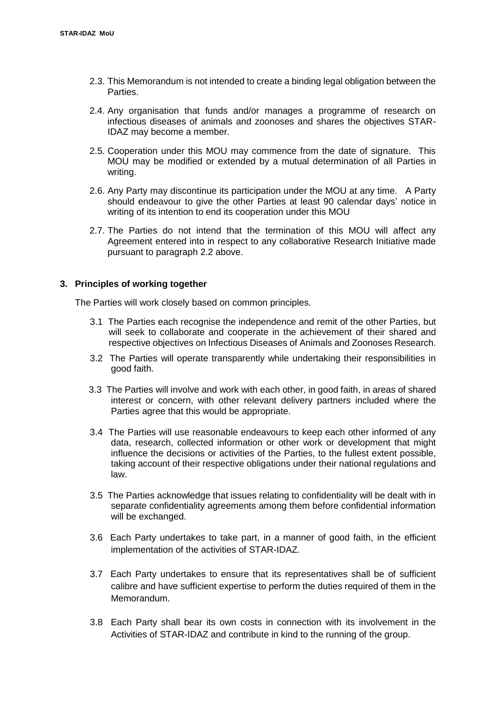- 2.3. This Memorandum is not intended to create a binding legal obligation between the Parties.
- 2.4. Any organisation that funds and/or manages a programme of research on infectious diseases of animals and zoonoses and shares the objectives STAR-IDAZ may become a member.
- 2.5. Cooperation under this MOU may commence from the date of signature. This MOU may be modified or extended by a mutual determination of all Parties in writing.
- 2.6. Any Party may discontinue its participation under the MOU at any time. A Party should endeavour to give the other Parties at least 90 calendar days' notice in writing of its intention to end its cooperation under this MOU
- 2.7. The Parties do not intend that the termination of this MOU will affect any Agreement entered into in respect to any collaborative Research Initiative made pursuant to paragraph 2.2 above.

#### **3. Principles of working together**

The Parties will work closely based on common principles.

- 3.1 The Parties each recognise the independence and remit of the other Parties, but will seek to collaborate and cooperate in the achievement of their shared and respective objectives on Infectious Diseases of Animals and Zoonoses Research.
- 3.2 The Parties will operate transparently while undertaking their responsibilities in good faith.
- 3.3 The Parties will involve and work with each other, in good faith, in areas of shared interest or concern, with other relevant delivery partners included where the Parties agree that this would be appropriate.
- 3.4 The Parties will use reasonable endeavours to keep each other informed of any data, research, collected information or other work or development that might influence the decisions or activities of the Parties, to the fullest extent possible, taking account of their respective obligations under their national regulations and law.
- 3.5 The Parties acknowledge that issues relating to confidentiality will be dealt with in separate confidentiality agreements among them before confidential information will be exchanged.
- 3.6 Each Party undertakes to take part, in a manner of good faith, in the efficient implementation of the activities of STAR-IDAZ.
- 3.7 Each Party undertakes to ensure that its representatives shall be of sufficient calibre and have sufficient expertise to perform the duties required of them in the Memorandum.
- 3.8 Each Party shall bear its own costs in connection with its involvement in the Activities of STAR-IDAZ and contribute in kind to the running of the group.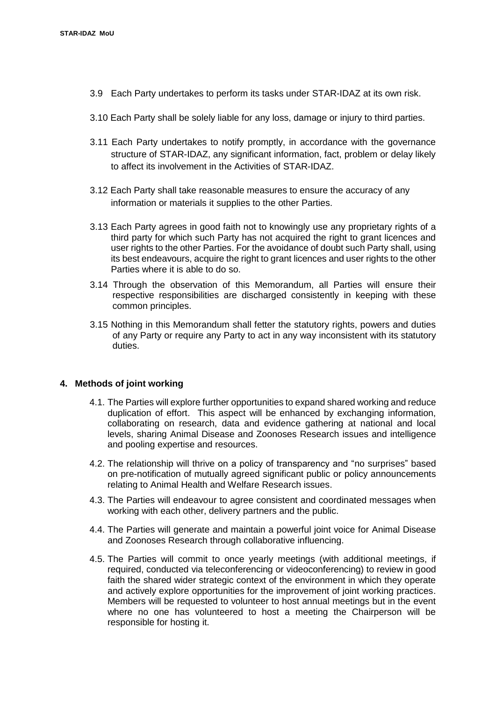- 3.9 Each Party undertakes to perform its tasks under STAR-IDAZ at its own risk.
- 3.10 Each Party shall be solely liable for any loss, damage or injury to third parties.
- 3.11 Each Party undertakes to notify promptly, in accordance with the governance structure of STAR-IDAZ, any significant information, fact, problem or delay likely to affect its involvement in the Activities of STAR-IDAZ.
- 3.12 Each Party shall take reasonable measures to ensure the accuracy of any information or materials it supplies to the other Parties.
- 3.13 Each Party agrees in good faith not to knowingly use any proprietary rights of a third party for which such Party has not acquired the right to grant licences and user rights to the other Parties. For the avoidance of doubt such Party shall, using its best endeavours, acquire the right to grant licences and user rights to the other Parties where it is able to do so.
- 3.14 Through the observation of this Memorandum, all Parties will ensure their respective responsibilities are discharged consistently in keeping with these common principles.
- 3.15 Nothing in this Memorandum shall fetter the statutory rights, powers and duties of any Party or require any Party to act in any way inconsistent with its statutory duties.

#### **4. Methods of joint working**

- 4.1. The Parties will explore further opportunities to expand shared working and reduce duplication of effort. This aspect will be enhanced by exchanging information, collaborating on research, data and evidence gathering at national and local levels, sharing Animal Disease and Zoonoses Research issues and intelligence and pooling expertise and resources.
- 4.2. The relationship will thrive on a policy of transparency and "no surprises" based on pre-notification of mutually agreed significant public or policy announcements relating to Animal Health and Welfare Research issues.
- 4.3. The Parties will endeavour to agree consistent and coordinated messages when working with each other, delivery partners and the public.
- 4.4. The Parties will generate and maintain a powerful joint voice for Animal Disease and Zoonoses Research through collaborative influencing.
- 4.5. The Parties will commit to once yearly meetings (with additional meetings, if required, conducted via teleconferencing or videoconferencing) to review in good faith the shared wider strategic context of the environment in which they operate and actively explore opportunities for the improvement of joint working practices. Members will be requested to volunteer to host annual meetings but in the event where no one has volunteered to host a meeting the Chairperson will be responsible for hosting it.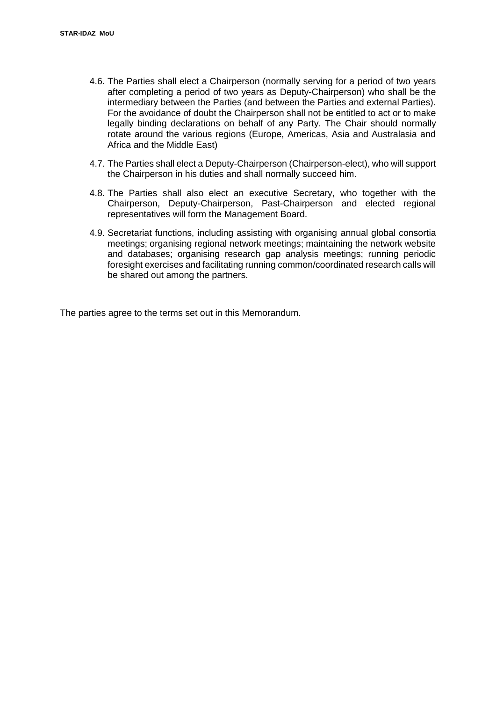- 4.6. The Parties shall elect a Chairperson (normally serving for a period of two years after completing a period of two years as Deputy-Chairperson) who shall be the intermediary between the Parties (and between the Parties and external Parties). For the avoidance of doubt the Chairperson shall not be entitled to act or to make legally binding declarations on behalf of any Party. The Chair should normally rotate around the various regions (Europe, Americas, Asia and Australasia and Africa and the Middle East)
- 4.7. The Parties shall elect a Deputy-Chairperson (Chairperson-elect), who will support the Chairperson in his duties and shall normally succeed him.
- 4.8. The Parties shall also elect an executive Secretary, who together with the Chairperson, Deputy-Chairperson, Past-Chairperson and elected regional representatives will form the Management Board.
- 4.9. Secretariat functions, including assisting with organising annual global consortia meetings; organising regional network meetings; maintaining the network website and databases; organising research gap analysis meetings; running periodic foresight exercises and facilitating running common/coordinated research calls will be shared out among the partners.

The parties agree to the terms set out in this Memorandum.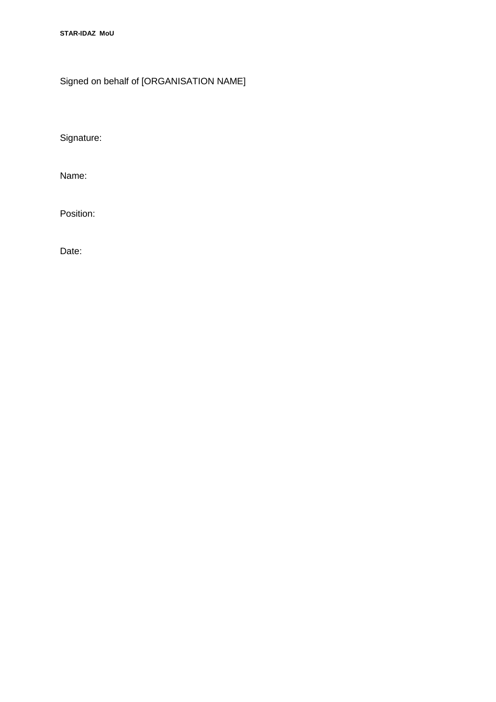**STAR-IDAZ MoU**

Signed on behalf of [ORGANISATION NAME]

Signature:

Name:

Position:

Date: